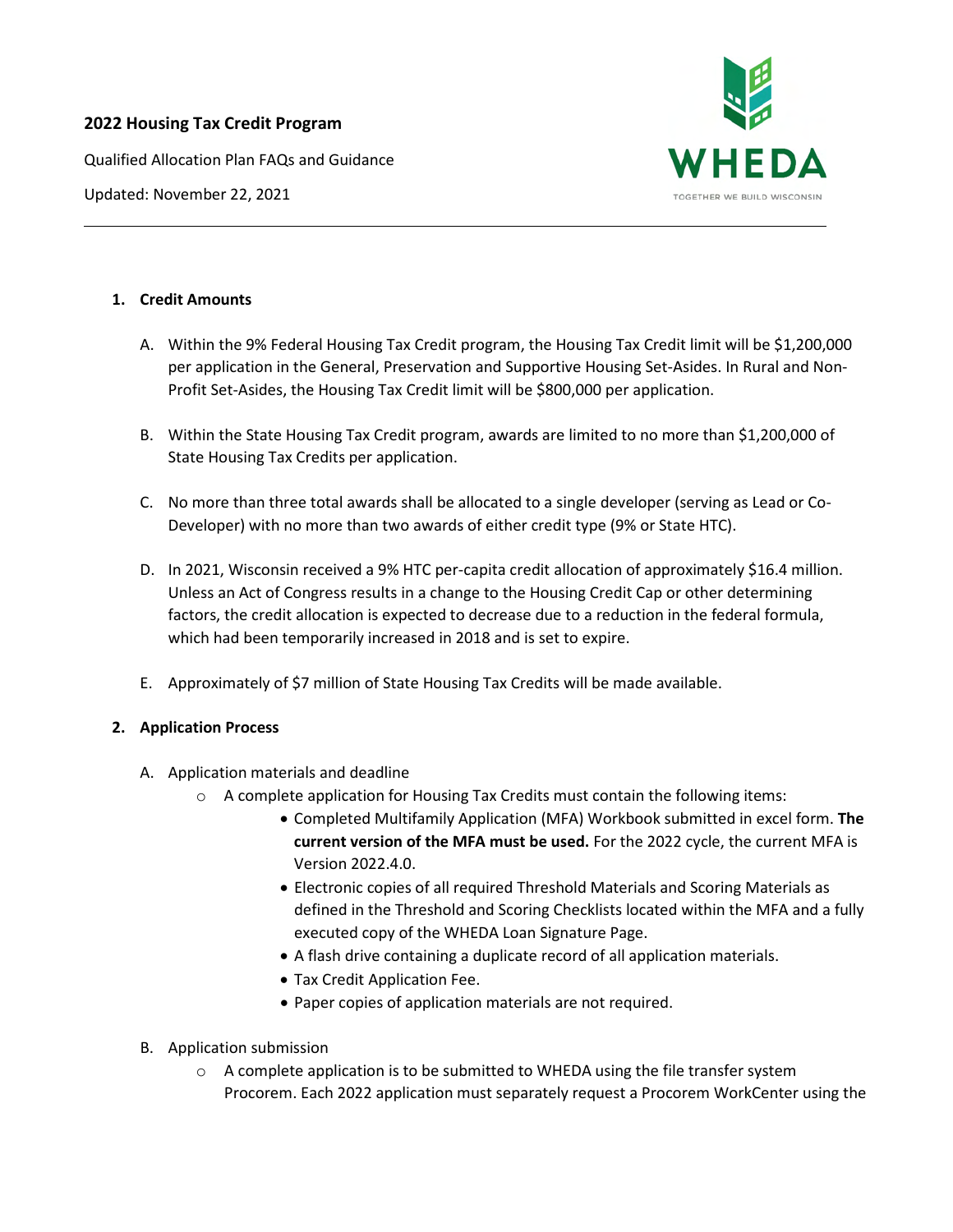# **2022 Housing Tax Credit Program**

Qualified Allocation Plan FAQs and Guidance





### **1. Credit Amounts**

- A. Within the 9% Federal Housing Tax Credit program, the Housing Tax Credit limit will be \$1,200,000 per application in the General, Preservation and Supportive Housing Set-Asides. In Rural and Non-Profit Set-Asides, the Housing Tax Credit limit will be \$800,000 per application.
- B. Within the State Housing Tax Credit program, awards are limited to no more than \$1,200,000 of State Housing Tax Credits per application.
- C. No more than three total awards shall be allocated to a single developer (serving as Lead or Co-Developer) with no more than two awards of either credit type (9% or State HTC).
- D. In 2021, Wisconsin received a 9% HTC per-capita credit allocation of approximately \$16.4 million. Unless an Act of Congress results in a change to the Housing Credit Cap or other determining factors, the credit allocation is expected to decrease due to a reduction in the federal formula, which had been temporarily increased in 2018 and is set to expire.
- E. Approximately of \$7 million of State Housing Tax Credits will be made available.

## **2. Application Process**

- A. Application materials and deadline
	- $\circ$  A complete application for Housing Tax Credits must contain the following items:
		- Completed Multifamily Application (MFA) Workbook submitted in excel form. **The current version of the MFA must be used.** For the 2022 cycle, the current MFA is Version 2022.4.0.
		- Electronic copies of all required Threshold Materials and Scoring Materials as defined in the Threshold and Scoring Checklists located within the MFA and a fully executed copy of the WHEDA Loan Signature Page.
		- A flash drive containing a duplicate record of all application materials.
		- Tax Credit Application Fee.
		- Paper copies of application materials are not required.
- B. Application submission
	- $\circ$  A complete application is to be submitted to WHEDA using the file transfer system Procorem. Each 2022 application must separately request a Procorem WorkCenter using the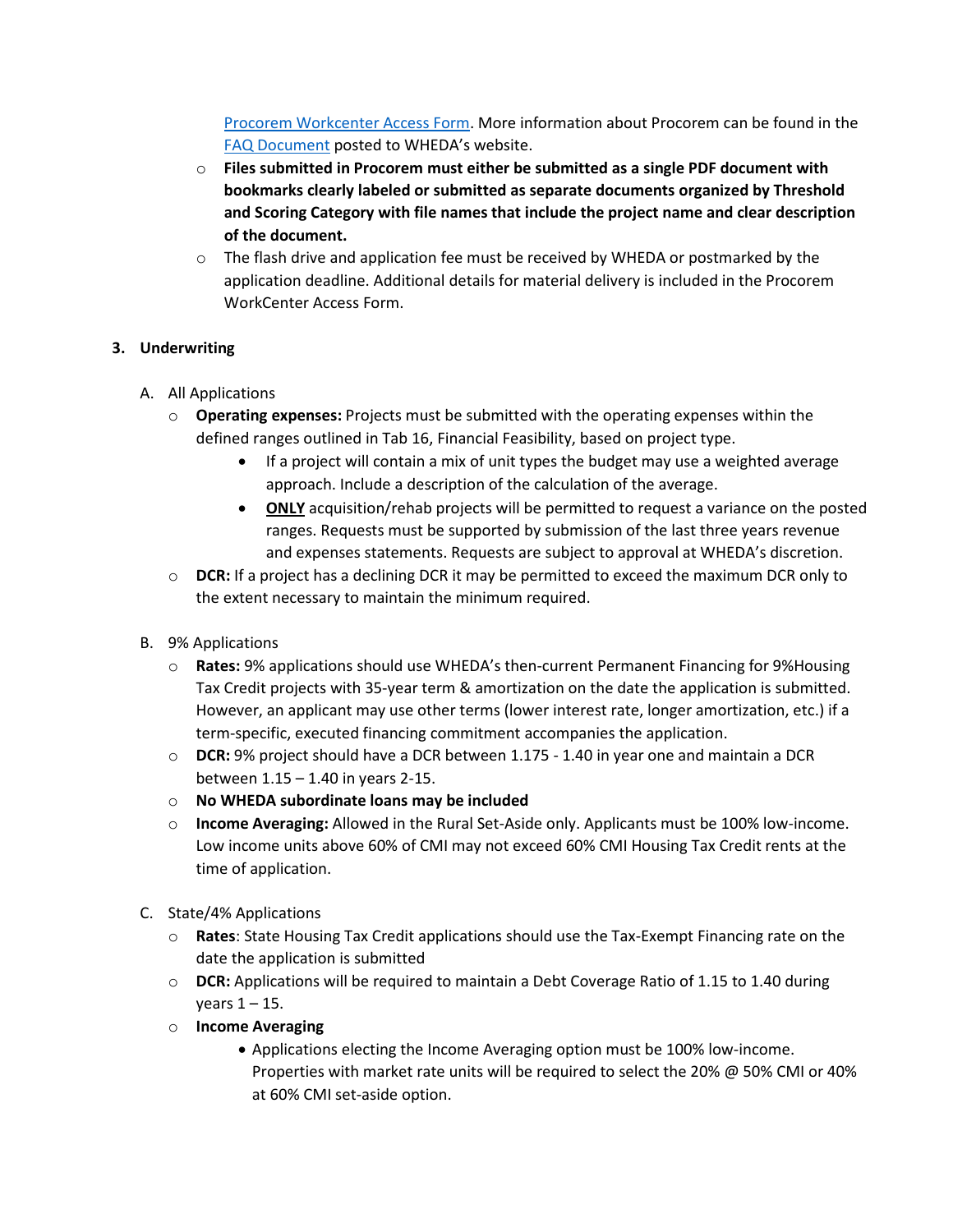[Procorem Workcenter Access Form.](https://www.wheda.com/globalassets/documents/tax-credits/htc/2022/procorem-workcenter-access-form.pdf) More information about Procorem can be found in the [FAQ Document](https://www.wheda.com/globalassets/documents/tax-credits/procorem-faq.pdf) posted to WHEDA's website.

- o **Files submitted in Procorem must either be submitted as a single PDF document with bookmarks clearly labeled or submitted as separate documents organized by Threshold and Scoring Category with file names that include the project name and clear description of the document.**
- $\circ$  The flash drive and application fee must be received by WHEDA or postmarked by the application deadline. Additional details for material delivery is included in the Procorem WorkCenter Access Form.

## **3. Underwriting**

- A. All Applications
	- o **Operating expenses:** Projects must be submitted with the operating expenses within the defined ranges outlined in Tab 16, Financial Feasibility, based on project type.
		- If a project will contain a mix of unit types the budget may use a weighted average approach. Include a description of the calculation of the average.
		- **ONLY** acquisition/rehab projects will be permitted to request a variance on the posted ranges. Requests must be supported by submission of the last three years revenue and expenses statements. Requests are subject to approval at WHEDA's discretion.
	- o **DCR:** If a project has a declining DCR it may be permitted to exceed the maximum DCR only to the extent necessary to maintain the minimum required.
- B. 9% Applications
	- o **Rates:** 9% applications should use WHEDA's then-current Permanent Financing for 9%Housing Tax Credit projects with 35-year term & amortization on the date the application is submitted. However, an applicant may use other terms (lower interest rate, longer amortization, etc.) if a term-specific, executed financing commitment accompanies the application.
	- o **DCR:** 9% project should have a DCR between 1.175 1.40 in year one and maintain a DCR between 1.15 – 1.40 in years 2-15.
	- o **No WHEDA subordinate loans may be included**
	- o **Income Averaging:** Allowed in the Rural Set-Aside only. Applicants must be 100% low-income. Low income units above 60% of CMI may not exceed 60% CMI Housing Tax Credit rents at the time of application.
- C. State/4% Applications
	- o **Rates**: State Housing Tax Credit applications should use the Tax-Exempt Financing rate on the date the application is submitted
	- o **DCR:** Applications will be required to maintain a Debt Coverage Ratio of 1.15 to 1.40 during years  $1 - 15$ .
	- o **Income Averaging**
		- Applications electing the Income Averaging option must be 100% low-income. Properties with market rate units will be required to select the 20% @ 50% CMI or 40% at 60% CMI set-aside option.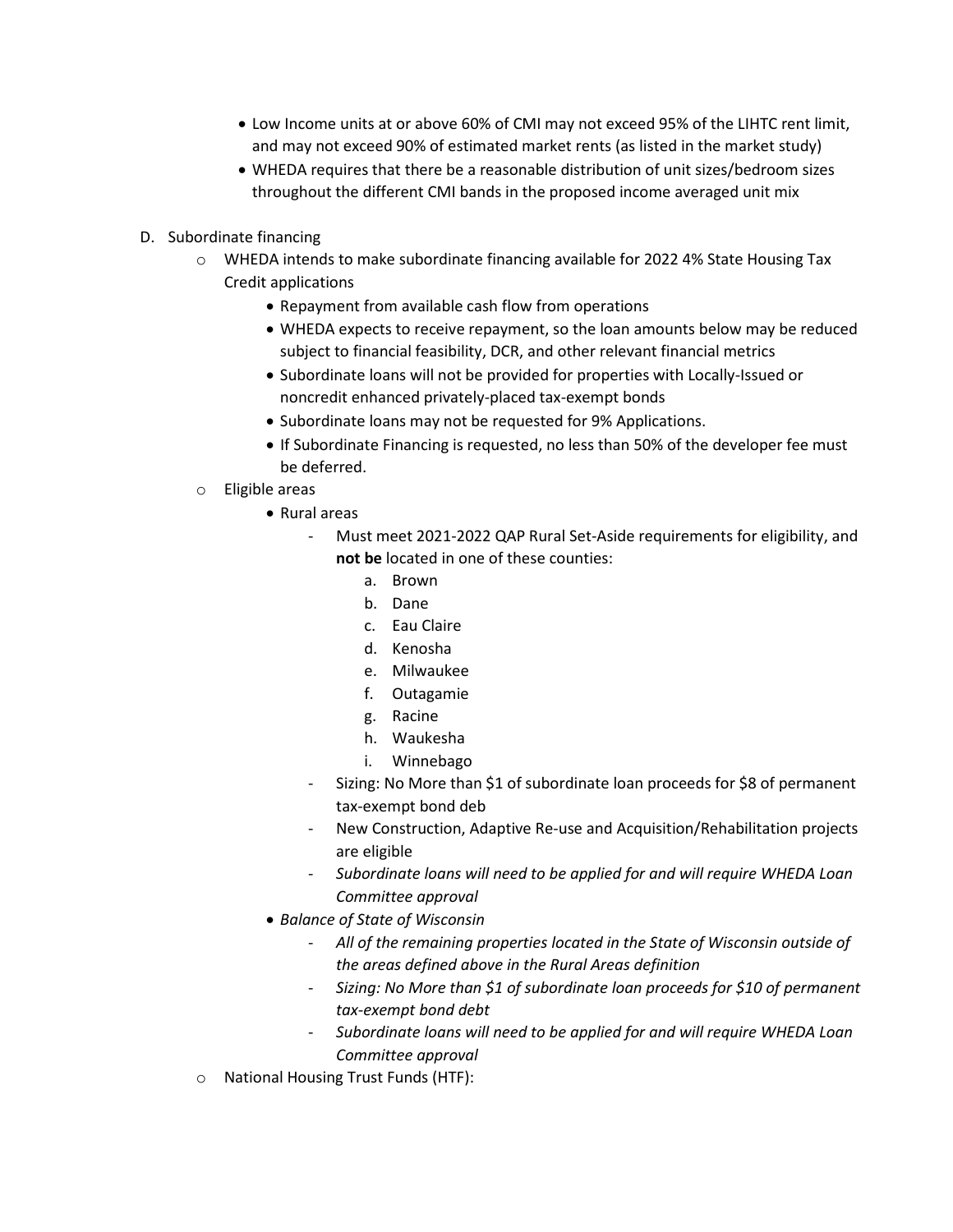- Low Income units at or above 60% of CMI may not exceed 95% of the LIHTC rent limit, and may not exceed 90% of estimated market rents (as listed in the market study)
- WHEDA requires that there be a reasonable distribution of unit sizes/bedroom sizes throughout the different CMI bands in the proposed income averaged unit mix
- D. Subordinate financing
	- $\circ$  WHEDA intends to make subordinate financing available for 2022 4% State Housing Tax Credit applications
		- Repayment from available cash flow from operations
		- WHEDA expects to receive repayment, so the loan amounts below may be reduced subject to financial feasibility, DCR, and other relevant financial metrics
		- Subordinate loans will not be provided for properties with Locally-Issued or noncredit enhanced privately-placed tax-exempt bonds
		- Subordinate loans may not be requested for 9% Applications.
		- If Subordinate Financing is requested, no less than 50% of the developer fee must be deferred.
	- o Eligible areas
		- Rural areas
			- Must meet 2021-2022 QAP Rural Set-Aside requirements for eligibility, and **not be** located in one of these counties:
				- a. Brown
				- b. Dane
				- c. Eau Claire
				- d. Kenosha
				- e. Milwaukee
				- f. Outagamie
				- g. Racine
				- h. Waukesha
				- i. Winnebago
			- Sizing: No More than \$1 of subordinate loan proceeds for \$8 of permanent tax-exempt bond deb
			- New Construction, Adaptive Re-use and Acquisition/Rehabilitation projects are eligible
			- *Subordinate loans will need to be applied for and will require WHEDA Loan Committee approval*
		- *Balance of State of Wisconsin*
			- *All of the remaining properties located in the State of Wisconsin outside of the areas defined above in the Rural Areas definition*
			- *Sizing: No More than \$1 of subordinate loan proceeds for \$10 of permanent tax‐exempt bond debt*
			- *Subordinate loans will need to be applied for and will require WHEDA Loan Committee approval*
	- o National Housing Trust Funds (HTF):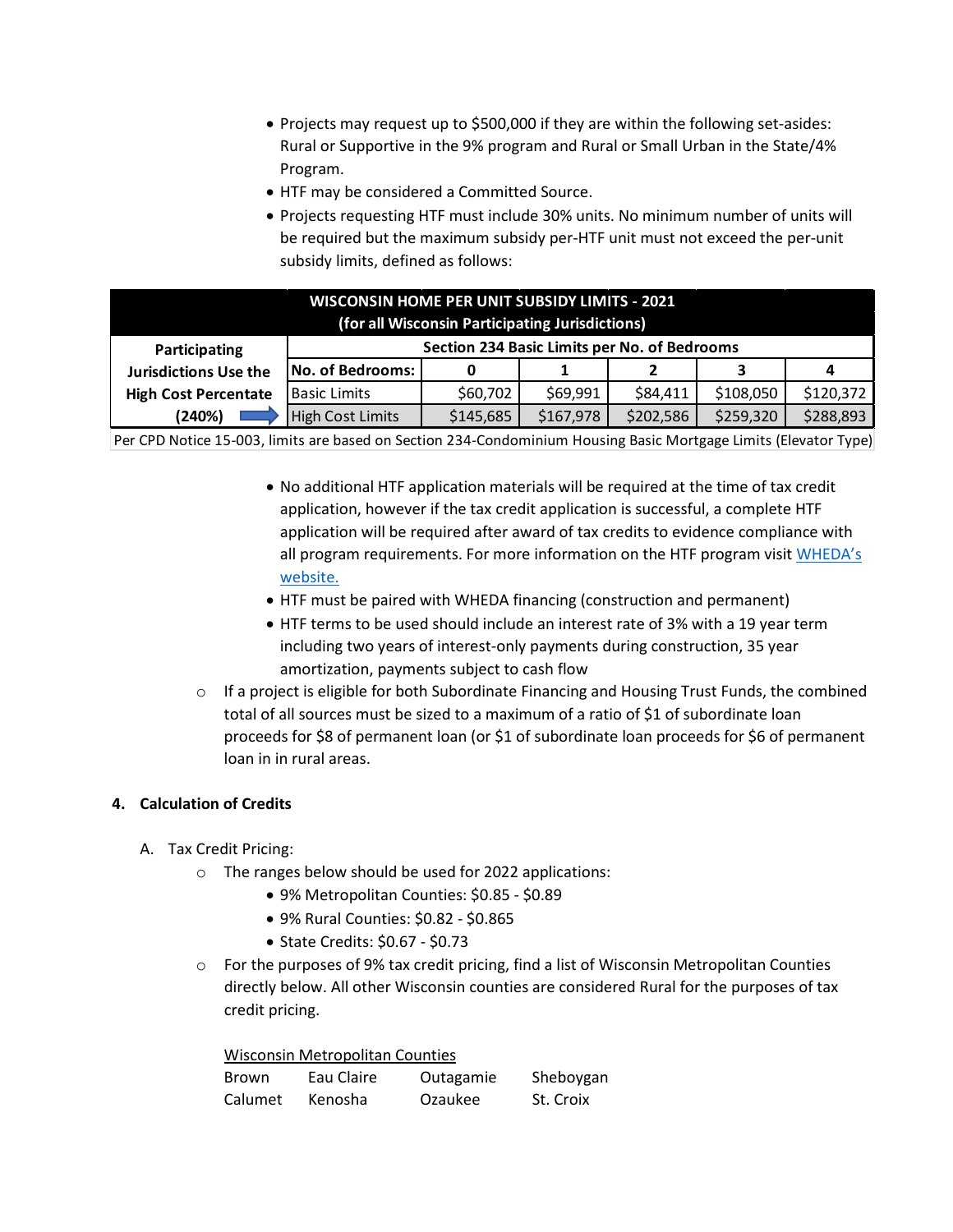- Projects may request up to \$500,000 if they are within the following set-asides: Rural or Supportive in the 9% program and Rural or Small Urban in the State/4% Program.
- HTF may be considered a Committed Source.
- Projects requesting HTF must include 30% units. No minimum number of units will be required but the maximum subsidy per-HTF unit must not exceed the per-unit subsidy limits, defined as follows:

| <b>WISCONSIN HOME PER UNIT SUBSIDY LIMITS - 2021</b><br>(for all Wisconsin Participating Jurisdictions) |                                              |           |           |           |           |           |  |  |
|---------------------------------------------------------------------------------------------------------|----------------------------------------------|-----------|-----------|-----------|-----------|-----------|--|--|
| Participating                                                                                           | Section 234 Basic Limits per No. of Bedrooms |           |           |           |           |           |  |  |
| <b>Jurisdictions Use the</b>                                                                            | No. of Bedrooms:                             |           |           |           | 3         | 4         |  |  |
| <b>High Cost Percentate</b>                                                                             | <b>Basic Limits</b>                          | \$60,702  | \$69,991  | \$84,411  | \$108,050 | \$120,372 |  |  |
| (240%)                                                                                                  | <b>High Cost Limits</b>                      | \$145,685 | \$167,978 | \$202,586 | \$259,320 | \$288,893 |  |  |

Per CPD Notice 15-003, limits are based on Section 234-Condominium Housing Basic Mortgage Limits (Elevator Type)

- No additional HTF application materials will be required at the time of tax credit application, however if the tax credit application is successful, a complete HTF application will be required after award of tax credits to evidence compliance with all program requirements. For more information on the HTF program visit WHEDA's [website.](https://www.wheda.com/developers-and-property-managers/developers/national-housing-trust-fund)
- HTF must be paired with WHEDA financing (construction and permanent)
- HTF terms to be used should include an interest rate of 3% with a 19 year term including two years of interest-only payments during construction, 35 year amortization, payments subject to cash flow
- $\circ$  If a project is eligible for both Subordinate Financing and Housing Trust Funds, the combined total of all sources must be sized to a maximum of a ratio of \$1 of subordinate loan proceeds for \$8 of permanent loan (or \$1 of subordinate loan proceeds for \$6 of permanent loan in in rural areas.

## **4. Calculation of Credits**

- A. Tax Credit Pricing:
	- o The ranges below should be used for 2022 applications:
		- 9% Metropolitan Counties: \$0.85 \$0.89
		- 9% Rural Counties: \$0.82 \$0.865
		- State Credits: \$0.67 \$0.73
	- o For the purposes of 9% tax credit pricing, find a list of Wisconsin Metropolitan Counties directly below. All other Wisconsin counties are considered Rural for the purposes of tax credit pricing.

Wisconsin Metropolitan Counties

| Brown   | Eau Claire | Outagamie | Sheboygan |
|---------|------------|-----------|-----------|
| Calumet | Kenosha    | Ozaukee   | St. Croix |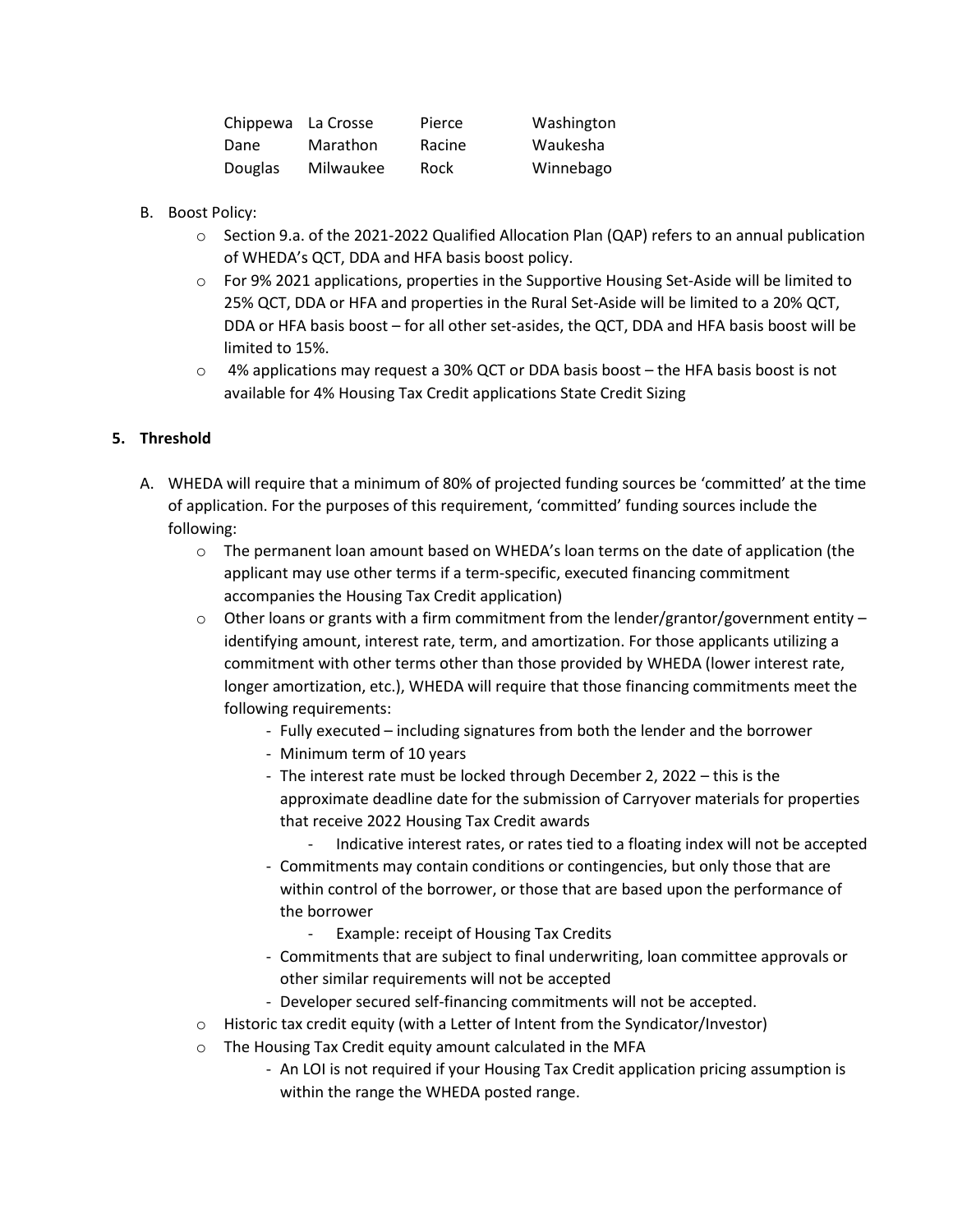| Chippewa La Crosse |           | Pierce | Washington |
|--------------------|-----------|--------|------------|
| Dane               | Marathon  | Racine | Waukesha   |
| Douglas            | Milwaukee | Rock   | Winnebago  |

- B. Boost Policy:
	- o Section 9.a. of the 2021-2022 Qualified Allocation Plan (QAP) refers to an annual publication of WHEDA's QCT, DDA and HFA basis boost policy.
	- o For 9% 2021 applications, properties in the Supportive Housing Set-Aside will be limited to 25% QCT, DDA or HFA and properties in the Rural Set-Aside will be limited to a 20% QCT, DDA or HFA basis boost – for all other set-asides, the QCT, DDA and HFA basis boost will be limited to 15%.
	- $\circ$  4% applications may request a 30% QCT or DDA basis boost the HFA basis boost is not available for 4% Housing Tax Credit applications State Credit Sizing

### **5. Threshold**

- A. WHEDA will require that a minimum of 80% of projected funding sources be 'committed' at the time of application. For the purposes of this requirement, 'committed' funding sources include the following:
	- $\circ$  The permanent loan amount based on WHEDA's loan terms on the date of application (the applicant may use other terms if a term-specific, executed financing commitment accompanies the Housing Tax Credit application)
	- $\circ$  Other loans or grants with a firm commitment from the lender/grantor/government entity identifying amount, interest rate, term, and amortization. For those applicants utilizing a commitment with other terms other than those provided by WHEDA (lower interest rate, longer amortization, etc.), WHEDA will require that those financing commitments meet the following requirements:
		- Fully executed including signatures from both the lender and the borrower
		- Minimum term of 10 years
		- The interest rate must be locked through December 2, 2022 this is the approximate deadline date for the submission of Carryover materials for properties that receive 2022 Housing Tax Credit awards
			- Indicative interest rates, or rates tied to a floating index will not be accepted
		- Commitments may contain conditions or contingencies, but only those that are within control of the borrower, or those that are based upon the performance of the borrower
			- Example: receipt of Housing Tax Credits
		- Commitments that are subject to final underwriting, loan committee approvals or other similar requirements will not be accepted
		- Developer secured self-financing commitments will not be accepted.
	- o Historic tax credit equity (with a Letter of Intent from the Syndicator/Investor)
	- o The Housing Tax Credit equity amount calculated in the MFA
		- An LOI is not required if your Housing Tax Credit application pricing assumption is within the range the WHEDA posted range.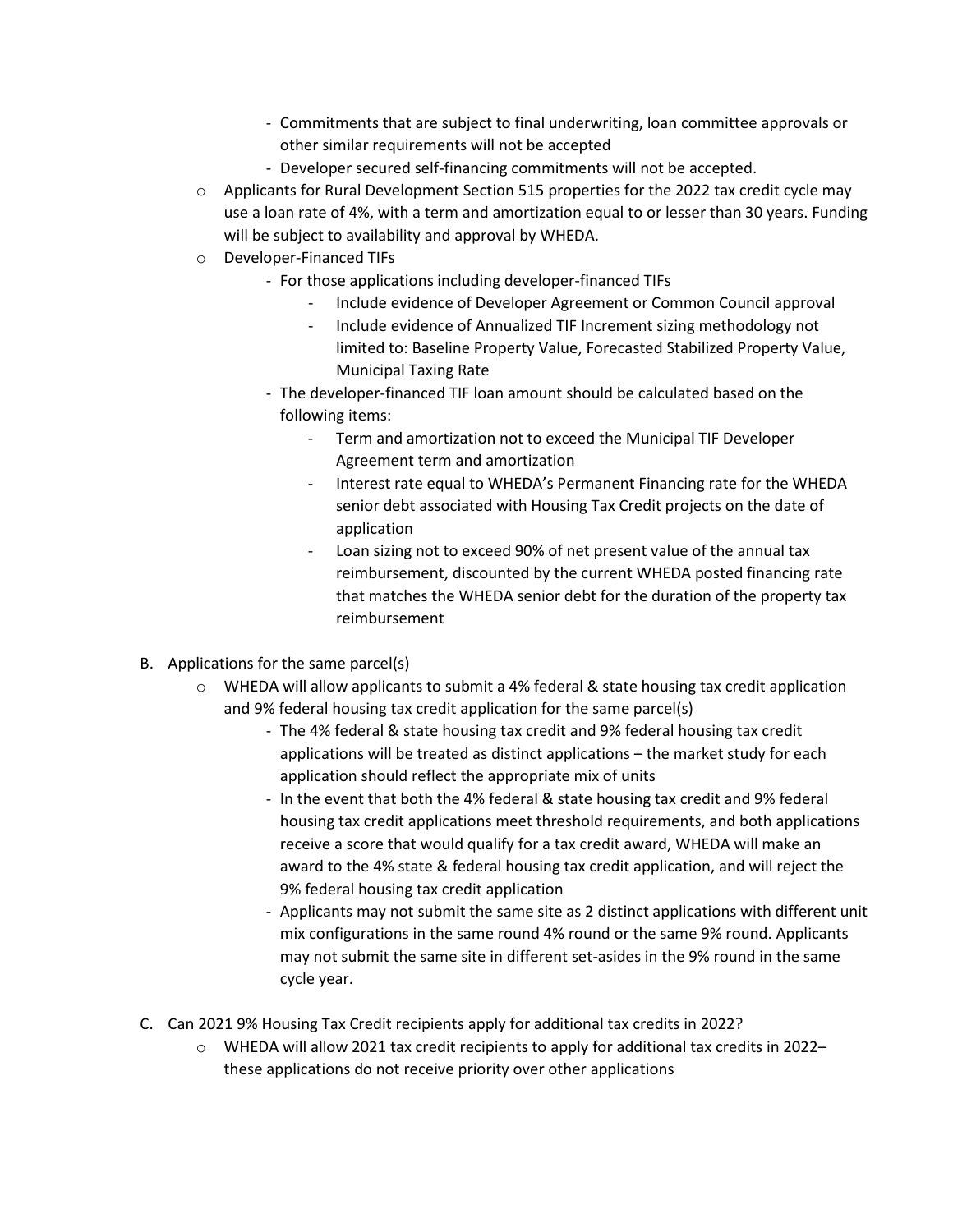- Commitments that are subject to final underwriting, loan committee approvals or other similar requirements will not be accepted
- Developer secured self-financing commitments will not be accepted.
- $\circ$  Applicants for Rural Development Section 515 properties for the 2022 tax credit cycle may use a loan rate of 4%, with a term and amortization equal to or lesser than 30 years. Funding will be subject to availability and approval by WHEDA.
- o Developer-Financed TIFs
	- For those applications including developer-financed TIFs
		- Include evidence of Developer Agreement or Common Council approval
		- Include evidence of Annualized TIF Increment sizing methodology not limited to: Baseline Property Value, Forecasted Stabilized Property Value, Municipal Taxing Rate
	- The developer-financed TIF loan amount should be calculated based on the following items:
		- Term and amortization not to exceed the Municipal TIF Developer Agreement term and amortization
		- Interest rate equal to WHEDA's Permanent Financing rate for the WHEDA senior debt associated with Housing Tax Credit projects on the date of application
		- Loan sizing not to exceed 90% of net present value of the annual tax reimbursement, discounted by the current WHEDA posted financing rate that matches the WHEDA senior debt for the duration of the property tax reimbursement
- B. Applications for the same parcel(s)
	- $\circ$  WHEDA will allow applicants to submit a 4% federal & state housing tax credit application and 9% federal housing tax credit application for the same parcel(s)
		- The 4% federal & state housing tax credit and 9% federal housing tax credit applications will be treated as distinct applications – the market study for each application should reflect the appropriate mix of units
		- In the event that both the 4% federal & state housing tax credit and 9% federal housing tax credit applications meet threshold requirements, and both applications receive a score that would qualify for a tax credit award, WHEDA will make an award to the 4% state & federal housing tax credit application, and will reject the 9% federal housing tax credit application
		- Applicants may not submit the same site as 2 distinct applications with different unit mix configurations in the same round 4% round or the same 9% round. Applicants may not submit the same site in different set-asides in the 9% round in the same cycle year.
- C. Can 2021 9% Housing Tax Credit recipients apply for additional tax credits in 2022?
	- $\circ$  WHEDA will allow 2021 tax credit recipients to apply for additional tax credits in 2022– these applications do not receive priority over other applications